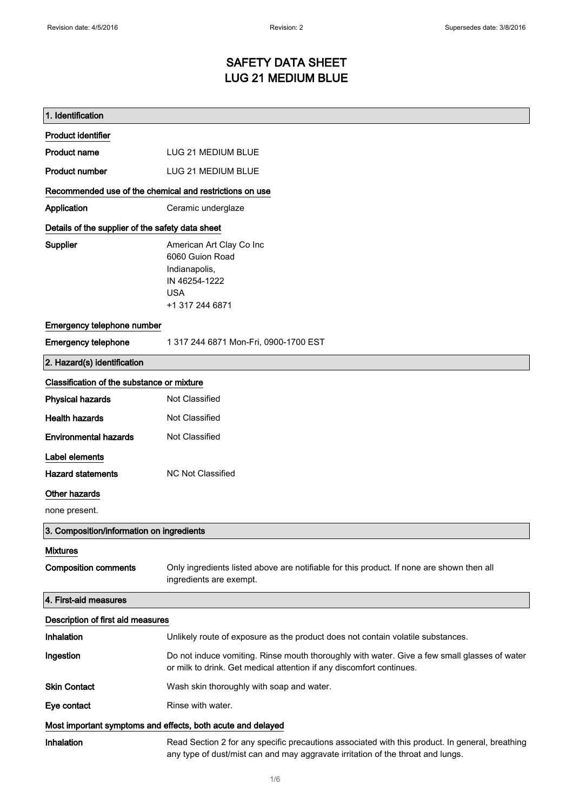# SAFETY DATA SHEET LUG 21 MEDIUM BLUE

| 1. Identification                                           |                                                                                                                                                                                    |
|-------------------------------------------------------------|------------------------------------------------------------------------------------------------------------------------------------------------------------------------------------|
| <b>Product identifier</b>                                   |                                                                                                                                                                                    |
| <b>Product name</b>                                         | LUG 21 MEDIUM BLUE                                                                                                                                                                 |
| <b>Product number</b>                                       | LUG 21 MEDIUM BLUE                                                                                                                                                                 |
| Recommended use of the chemical and restrictions on use     |                                                                                                                                                                                    |
| Application                                                 | Ceramic underglaze                                                                                                                                                                 |
| Details of the supplier of the safety data sheet            |                                                                                                                                                                                    |
| Supplier                                                    | American Art Clay Co Inc<br>6060 Guion Road<br>Indianapolis,<br>IN 46254-1222<br><b>USA</b><br>+1 317 244 6871                                                                     |
| Emergency telephone number                                  |                                                                                                                                                                                    |
| <b>Emergency telephone</b>                                  | 1 317 244 6871 Mon-Fri, 0900-1700 EST                                                                                                                                              |
| 2. Hazard(s) identification                                 |                                                                                                                                                                                    |
| Classification of the substance or mixture                  |                                                                                                                                                                                    |
| <b>Physical hazards</b>                                     | Not Classified                                                                                                                                                                     |
| <b>Health hazards</b>                                       | Not Classified                                                                                                                                                                     |
| <b>Environmental hazards</b>                                | Not Classified                                                                                                                                                                     |
| Label elements                                              |                                                                                                                                                                                    |
| <b>Hazard statements</b>                                    | <b>NC Not Classified</b>                                                                                                                                                           |
| Other hazards                                               |                                                                                                                                                                                    |
| none present.                                               |                                                                                                                                                                                    |
| 3. Composition/information on ingredients                   |                                                                                                                                                                                    |
| <b>Mixtures</b>                                             |                                                                                                                                                                                    |
| <b>Composition comments</b>                                 | Only ingredients listed above are notifiable for this product. If none are shown then all<br>ingredients are exempt.                                                               |
| 4. First-aid measures                                       |                                                                                                                                                                                    |
| Description of first aid measures                           |                                                                                                                                                                                    |
| Inhalation                                                  | Unlikely route of exposure as the product does not contain volatile substances.                                                                                                    |
| Ingestion                                                   | Do not induce vomiting. Rinse mouth thoroughly with water. Give a few small glasses of water<br>or milk to drink. Get medical attention if any discomfort continues.               |
| <b>Skin Contact</b>                                         | Wash skin thoroughly with soap and water.                                                                                                                                          |
| Eye contact                                                 | Rinse with water.                                                                                                                                                                  |
| Most important symptoms and effects, both acute and delayed |                                                                                                                                                                                    |
| Inhalation                                                  | Read Section 2 for any specific precautions associated with this product. In general, breathing<br>any type of dust/mist can and may aggravate irritation of the throat and lungs. |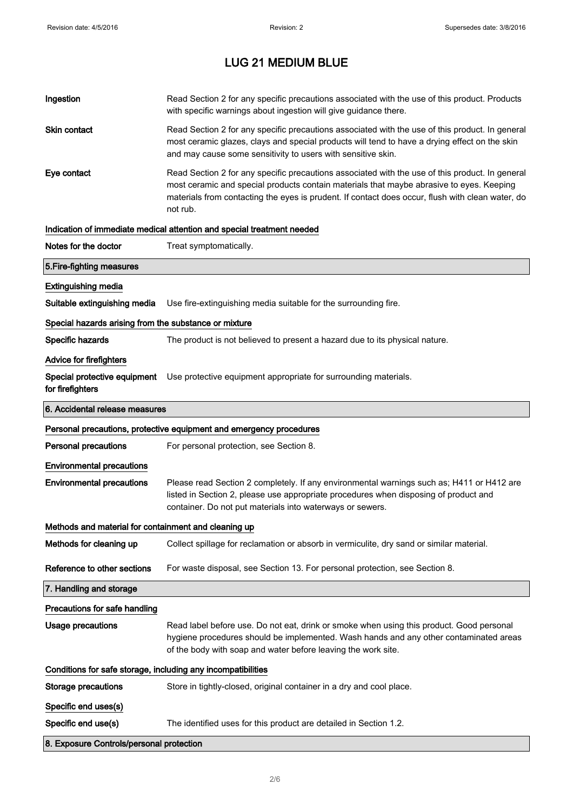| Ingestion                                                    | Read Section 2 for any specific precautions associated with the use of this product. Products<br>with specific warnings about ingestion will give guidance there.                                                                                                                                           |
|--------------------------------------------------------------|-------------------------------------------------------------------------------------------------------------------------------------------------------------------------------------------------------------------------------------------------------------------------------------------------------------|
| Skin contact                                                 | Read Section 2 for any specific precautions associated with the use of this product. In general<br>most ceramic glazes, clays and special products will tend to have a drying effect on the skin<br>and may cause some sensitivity to users with sensitive skin.                                            |
| Eye contact                                                  | Read Section 2 for any specific precautions associated with the use of this product. In general<br>most ceramic and special products contain materials that maybe abrasive to eyes. Keeping<br>materials from contacting the eyes is prudent. If contact does occur, flush with clean water, do<br>not rub. |
|                                                              | Indication of immediate medical attention and special treatment needed                                                                                                                                                                                                                                      |
| Notes for the doctor                                         | Treat symptomatically.                                                                                                                                                                                                                                                                                      |
| 5. Fire-fighting measures                                    |                                                                                                                                                                                                                                                                                                             |
| <b>Extinguishing media</b>                                   |                                                                                                                                                                                                                                                                                                             |
| Suitable extinguishing media                                 | Use fire-extinguishing media suitable for the surrounding fire.                                                                                                                                                                                                                                             |
| Special hazards arising from the substance or mixture        |                                                                                                                                                                                                                                                                                                             |
| Specific hazards                                             | The product is not believed to present a hazard due to its physical nature.                                                                                                                                                                                                                                 |
| <b>Advice for firefighters</b>                               |                                                                                                                                                                                                                                                                                                             |
| Special protective equipment<br>for firefighters             | Use protective equipment appropriate for surrounding materials.                                                                                                                                                                                                                                             |
| 6. Accidental release measures                               |                                                                                                                                                                                                                                                                                                             |
|                                                              | Personal precautions, protective equipment and emergency procedures                                                                                                                                                                                                                                         |
| <b>Personal precautions</b>                                  | For personal protection, see Section 8.                                                                                                                                                                                                                                                                     |
| <b>Environmental precautions</b>                             |                                                                                                                                                                                                                                                                                                             |
|                                                              |                                                                                                                                                                                                                                                                                                             |
| <b>Environmental precautions</b>                             | Please read Section 2 completely. If any environmental warnings such as; H411 or H412 are<br>listed in Section 2, please use appropriate procedures when disposing of product and<br>container. Do not put materials into waterways or sewers.                                                              |
| Methods and material for containment and cleaning up         |                                                                                                                                                                                                                                                                                                             |
| Methods for cleaning up                                      | Collect spillage for reclamation or absorb in vermiculite, dry sand or similar material.                                                                                                                                                                                                                    |
| Reference to other sections                                  | For waste disposal, see Section 13. For personal protection, see Section 8.                                                                                                                                                                                                                                 |
| 7. Handling and storage                                      |                                                                                                                                                                                                                                                                                                             |
| Precautions for safe handling                                |                                                                                                                                                                                                                                                                                                             |
| <b>Usage precautions</b>                                     | Read label before use. Do not eat, drink or smoke when using this product. Good personal<br>hygiene procedures should be implemented. Wash hands and any other contaminated areas<br>of the body with soap and water before leaving the work site.                                                          |
| Conditions for safe storage, including any incompatibilities |                                                                                                                                                                                                                                                                                                             |
| <b>Storage precautions</b>                                   | Store in tightly-closed, original container in a dry and cool place.                                                                                                                                                                                                                                        |
| Specific end uses(s)                                         |                                                                                                                                                                                                                                                                                                             |
| Specific end use(s)                                          | The identified uses for this product are detailed in Section 1.2.                                                                                                                                                                                                                                           |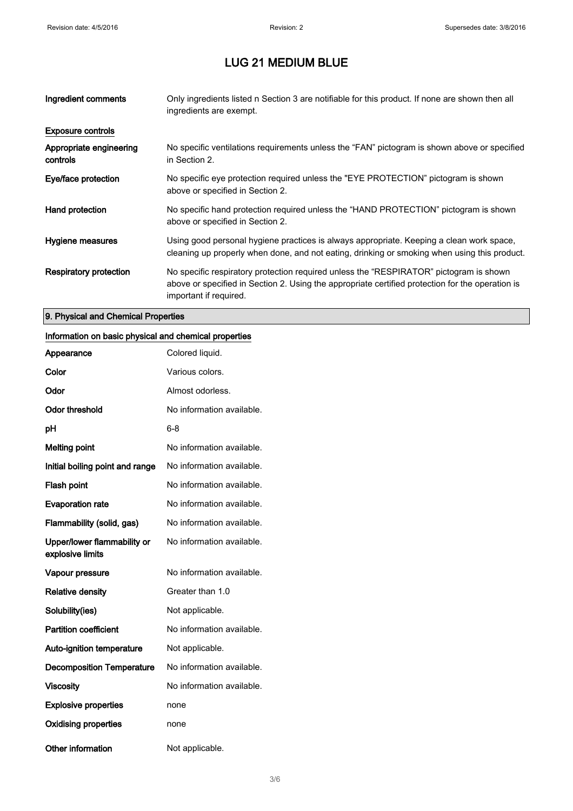| Ingredient comments                 | Only ingredients listed n Section 3 are notifiable for this product. If none are shown then all<br>ingredients are exempt.                                                                                           |
|-------------------------------------|----------------------------------------------------------------------------------------------------------------------------------------------------------------------------------------------------------------------|
| <b>Exposure controls</b>            |                                                                                                                                                                                                                      |
| Appropriate engineering<br>controls | No specific ventilations requirements unless the "FAN" pictogram is shown above or specified<br>in Section 2.                                                                                                        |
| Eye/face protection                 | No specific eye protection required unless the "EYE PROTECTION" pictogram is shown<br>above or specified in Section 2.                                                                                               |
| Hand protection                     | No specific hand protection required unless the "HAND PROTECTION" pictogram is shown<br>above or specified in Section 2.                                                                                             |
| Hygiene measures                    | Using good personal hygiene practices is always appropriate. Keeping a clean work space,<br>cleaning up properly when done, and not eating, drinking or smoking when using this product.                             |
| Respiratory protection              | No specific respiratory protection required unless the "RESPIRATOR" pictogram is shown<br>above or specified in Section 2. Using the appropriate certified protection for the operation is<br>important if required. |

#### 9. Physical and Chemical Properties

#### Information on basic physical and chemical properties

| Appearance                                      | Colored liquid.           |
|-------------------------------------------------|---------------------------|
| Color                                           | Various colors.           |
| Odor                                            | Almost odorless.          |
| <b>Odor threshold</b>                           | No information available. |
| рH                                              | 6-8                       |
| <b>Melting point</b>                            | No information available. |
| Initial boiling point and range                 | No information available. |
| <b>Flash point</b>                              | No information available. |
| <b>Evaporation rate</b>                         | No information available. |
| Flammability (solid, gas)                       | No information available. |
| Upper/lower flammability or<br>explosive limits | No information available. |
| Vapour pressure                                 | No information available. |
| <b>Relative density</b>                         | Greater than 1.0          |
| Solubility(ies)                                 | Not applicable.           |
| <b>Partition coefficient</b>                    | No information available. |
| <b>Auto-ignition temperature</b>                | Not applicable.           |
| <b>Decomposition Temperature</b>                | No information available. |
| <b>Viscosity</b>                                | No information available. |
| <b>Explosive properties</b>                     | none                      |
| <b>Oxidising properties</b>                     | none                      |
| <b>Other information</b>                        | Not applicable.           |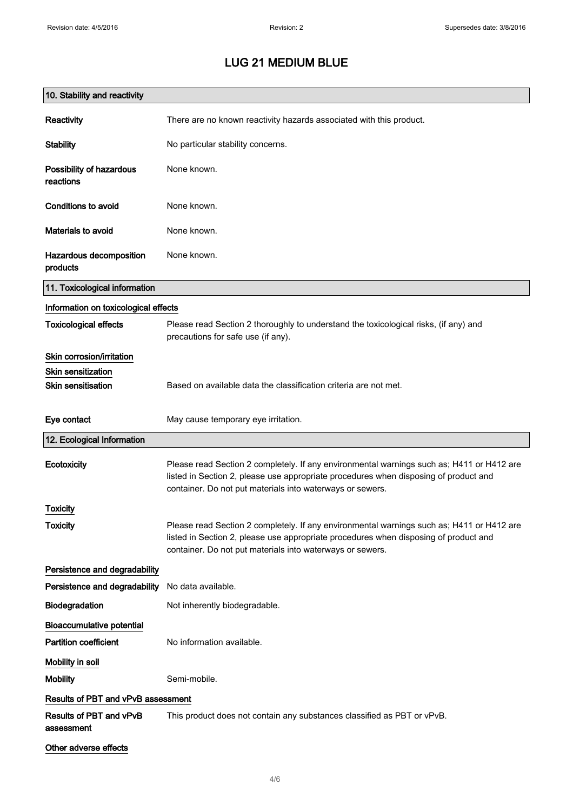| 10. Stability and reactivity          |                                                                                                                                                                                                                                                |
|---------------------------------------|------------------------------------------------------------------------------------------------------------------------------------------------------------------------------------------------------------------------------------------------|
| Reactivity                            | There are no known reactivity hazards associated with this product.                                                                                                                                                                            |
| <b>Stability</b>                      | No particular stability concerns.                                                                                                                                                                                                              |
| Possibility of hazardous<br>reactions | None known.                                                                                                                                                                                                                                    |
| Conditions to avoid                   | None known.                                                                                                                                                                                                                                    |
| Materials to avoid                    | None known.                                                                                                                                                                                                                                    |
| Hazardous decomposition<br>products   | None known.                                                                                                                                                                                                                                    |
| 11. Toxicological information         |                                                                                                                                                                                                                                                |
| Information on toxicological effects  |                                                                                                                                                                                                                                                |
| <b>Toxicological effects</b>          | Please read Section 2 thoroughly to understand the toxicological risks, (if any) and<br>precautions for safe use (if any).                                                                                                                     |
| Skin corrosion/irritation             |                                                                                                                                                                                                                                                |
| <b>Skin sensitization</b>             |                                                                                                                                                                                                                                                |
| <b>Skin sensitisation</b>             | Based on available data the classification criteria are not met.                                                                                                                                                                               |
| Eye contact                           | May cause temporary eye irritation.                                                                                                                                                                                                            |
| 12. Ecological Information            |                                                                                                                                                                                                                                                |
| Ecotoxicity                           | Please read Section 2 completely. If any environmental warnings such as; H411 or H412 are<br>listed in Section 2, please use appropriate procedures when disposing of product and<br>container. Do not put materials into waterways or sewers. |
| Toxicity                              |                                                                                                                                                                                                                                                |
| <b>Toxicity</b>                       | Please read Section 2 completely. If any environmental warnings such as; H411 or H412 are<br>listed in Section 2, please use appropriate procedures when disposing of product and<br>container. Do not put materials into waterways or sewers. |
| Persistence and degradability         |                                                                                                                                                                                                                                                |
| Persistence and degradability         | No data available.                                                                                                                                                                                                                             |
| Biodegradation                        | Not inherently biodegradable.                                                                                                                                                                                                                  |
| <b>Bioaccumulative potential</b>      |                                                                                                                                                                                                                                                |
| <b>Partition coefficient</b>          | No information available.                                                                                                                                                                                                                      |
| Mobility in soil                      |                                                                                                                                                                                                                                                |
| <b>Mobility</b>                       | Semi-mobile.                                                                                                                                                                                                                                   |
| Results of PBT and vPvB assessment    |                                                                                                                                                                                                                                                |
| Results of PBT and vPvB<br>assessment | This product does not contain any substances classified as PBT or vPvB.                                                                                                                                                                        |
| Other adverse effects                 |                                                                                                                                                                                                                                                |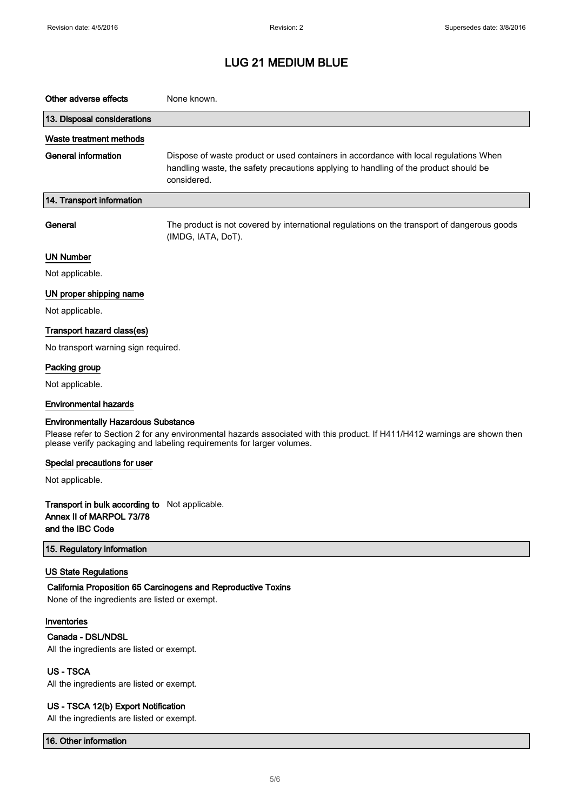| Other adverse effects                                                                                 | None known.                                                                                                                                                                                         |
|-------------------------------------------------------------------------------------------------------|-----------------------------------------------------------------------------------------------------------------------------------------------------------------------------------------------------|
| 13. Disposal considerations                                                                           |                                                                                                                                                                                                     |
| Waste treatment methods                                                                               |                                                                                                                                                                                                     |
| <b>General information</b>                                                                            | Dispose of waste product or used containers in accordance with local regulations When<br>handling waste, the safety precautions applying to handling of the product should be<br>considered.        |
| 14. Transport information                                                                             |                                                                                                                                                                                                     |
| General                                                                                               | The product is not covered by international regulations on the transport of dangerous goods<br>(IMDG, IATA, DoT).                                                                                   |
| <b>UN Number</b>                                                                                      |                                                                                                                                                                                                     |
| Not applicable.                                                                                       |                                                                                                                                                                                                     |
| UN proper shipping name                                                                               |                                                                                                                                                                                                     |
| Not applicable.                                                                                       |                                                                                                                                                                                                     |
| Transport hazard class(es)                                                                            |                                                                                                                                                                                                     |
| No transport warning sign required.                                                                   |                                                                                                                                                                                                     |
| Packing group                                                                                         |                                                                                                                                                                                                     |
| Not applicable.                                                                                       |                                                                                                                                                                                                     |
| <b>Environmental hazards</b>                                                                          |                                                                                                                                                                                                     |
| <b>Environmentally Hazardous Substance</b>                                                            | Please refer to Section 2 for any environmental hazards associated with this product. If H411/H412 warnings are shown then<br>please verify packaging and labeling requirements for larger volumes. |
| Special precautions for user                                                                          |                                                                                                                                                                                                     |
| Not applicable.                                                                                       |                                                                                                                                                                                                     |
| <b>Transport in bulk according to</b> Not applicable.<br>Annex II of MARPOL 73/78<br>and the IBC Code |                                                                                                                                                                                                     |
| 15. Regulatory information                                                                            |                                                                                                                                                                                                     |
| <b>US State Regulations</b><br>None of the ingredients are listed or exempt.                          | California Proposition 65 Carcinogens and Reproductive Toxins                                                                                                                                       |
| Inventories<br>Canada - DSL/NDSL<br>All the ingredients are listed or exempt.                         |                                                                                                                                                                                                     |
| US-TSCA<br>All the ingredients are listed or exempt.                                                  |                                                                                                                                                                                                     |
| US - TSCA 12(b) Export Notification                                                                   |                                                                                                                                                                                                     |

All the ingredients are listed or exempt.

16. Other information